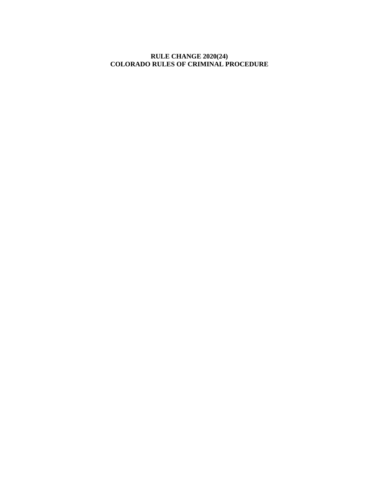## **RULE CHANGE 2020(24) COLORADO RULES OF CRIMINAL PROCEDURE**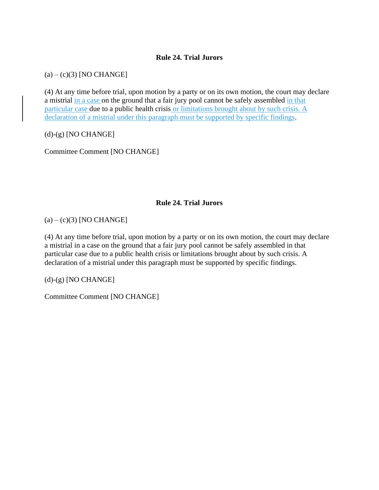## **Rule 24. Trial Jurors**

 $(a) - (c)(3)$  [NO CHANGE]

(4) At any time before trial, upon motion by a party or on its own motion, the court may declare a mistrial in a case on the ground that a fair jury pool cannot be safely assembled in that particular case due to a public health crisis or limitations brought about by such crisis. A declaration of a mistrial under this paragraph must be supported by specific findings.

 $(d)-(g)$  [NO CHANGE]

Committee Comment [NO CHANGE]

## **Rule 24. Trial Jurors**

 $(a) - (c)(3)$  [NO CHANGE]

(4) At any time before trial, upon motion by a party or on its own motion, the court may declare a mistrial in a case on the ground that a fair jury pool cannot be safely assembled in that particular case due to a public health crisis or limitations brought about by such crisis. A declaration of a mistrial under this paragraph must be supported by specific findings.

 $(d)-(g)$  [NO CHANGE]

Committee Comment [NO CHANGE]